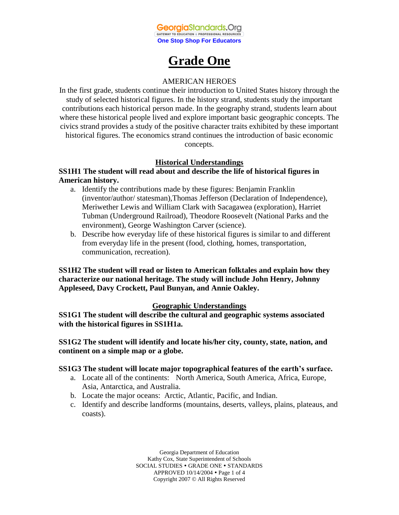

# **Grade One**

# AMERICAN HEROES

In the first grade, students continue their introduction to United States history through the study of selected historical figures. In the history strand, students study the important contributions each historical person made. In the geography strand, students learn about where these historical people lived and explore important basic geographic concepts. The civics strand provides a study of the positive character traits exhibited by these important historical figures. The economics strand continues the introduction of basic economic concepts.

## **Historical Understandings**

## **SS1H1 The student will read about and describe the life of historical figures in American history.**

- a. Identify the contributions made by these figures: Benjamin Franklin (inventor/author/ statesman),Thomas Jefferson (Declaration of Independence), Meriwether Lewis and William Clark with Sacagawea (exploration), Harriet Tubman (Underground Railroad), Theodore Roosevelt (National Parks and the environment), George Washington Carver (science).
- b. Describe how everyday life of these historical figures is similar to and different from everyday life in the present (food, clothing, homes, transportation, communication, recreation).

**SS1H2 The student will read or listen to American folktales and explain how they characterize our national heritage. The study will include John Henry, Johnny Appleseed, Davy Crockett, Paul Bunyan, and Annie Oakley.** 

## **Geographic Understandings**

**SS1G1 The student will describe the cultural and geographic systems associated with the historical figures in SS1H1a.** 

**SS1G2 The student will identify and locate his/her city, county, state, nation, and continent on a simple map or a globe.** 

## **SS1G3 The student will locate major topographical features of the earth's surface.**

- a. Locate all of the continents: North America, South America, Africa, Europe, Asia, Antarctica, and Australia.
- b. Locate the major oceans: Arctic, Atlantic, Pacific, and Indian.
- c. Identify and describe landforms (mountains, deserts, valleys, plains, plateaus, and coasts).

Georgia Department of Education Kathy Cox, State Superintendent of Schools SOCIAL STUDIES . GRADE ONE . STANDARDS APPROVED 10/14/2004 Page 1 of 4 Copyright 2007 © All Rights Reserved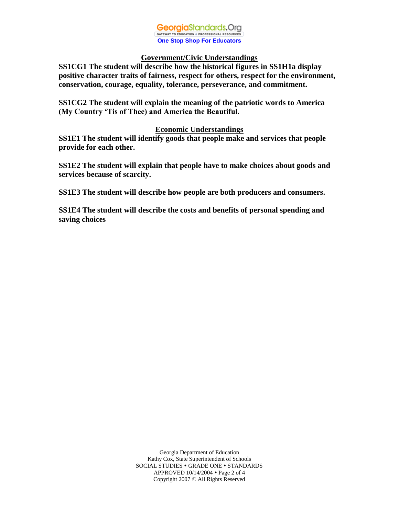#### GeorgiaStandards.Org GATEWAY TO EDUCATION & PROFESSIONAL RESOURCE **One Stop Shop For Educators**

## **Government/Civic Understandings**

**SS1CG1 The student will describe how the historical figures in SS1H1a display positive character traits of fairness, respect for others, respect for the environment, conservation, courage, equality, tolerance, perseverance, and commitment.** 

**SS1CG2 The student will explain the meaning of the patriotic words to America (My Country 'Tis of Thee) and America the Beautiful.** 

## **Economic Understandings**

**SS1E1 The student will identify goods that people make and services that people provide for each other.** 

**SS1E2 The student will explain that people have to make choices about goods and services because of scarcity.**

**SS1E3 The student will describe how people are both producers and consumers.**

**SS1E4 The student will describe the costs and benefits of personal spending and saving choices**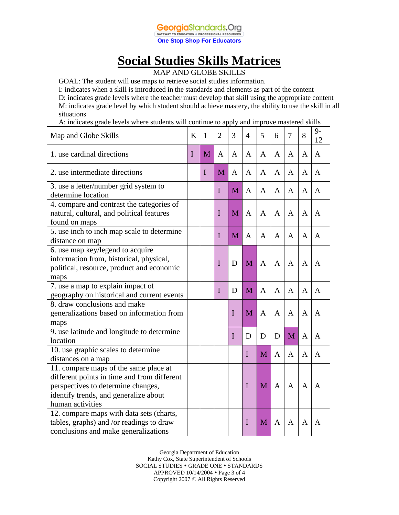

# **Social Studies Skills Matrices**

MAP AND GLOBE SKILLS

GOAL: The student will use maps to retrieve social studies information.

I: indicates when a skill is introduced in the standards and elements as part of the content D: indicates grade levels where the teacher must develop that skill using the appropriate content

M: indicates grade level by which student should achieve mastery, the ability to use the skill in all situations

A: indicates grade levels where students will continue to apply and improve mastered skills

| Map and Globe Skills                                                                                                                                                                    | K | 1           | $\overline{2}$ | 3           | 4            | 5            | 6              | 7 | 8              | $9-$<br>12   |
|-----------------------------------------------------------------------------------------------------------------------------------------------------------------------------------------|---|-------------|----------------|-------------|--------------|--------------|----------------|---|----------------|--------------|
| 1. use cardinal directions                                                                                                                                                              | I | M           | A              | A           | A            | A            | A              | A | $\mathbf{A}$   | $\mathbf{A}$ |
| 2. use intermediate directions                                                                                                                                                          |   | $\mathbf I$ | M              | A           | A            | A            | A              | A | A              | A            |
| 3. use a letter/number grid system to<br>determine location                                                                                                                             |   |             | I              | M           | A            | A            | $\mathbf{A}$   | A | A              | A            |
| 4. compare and contrast the categories of<br>natural, cultural, and political features<br>found on maps                                                                                 |   |             | I              | M           | A            | A            | $\mathsf{A}$   | A | A              | A            |
| 5. use inch to inch map scale to determine<br>distance on map                                                                                                                           |   |             | I              | M           | $\mathbf{A}$ | A            | A              | A | $\mathbf{A}$   | A            |
| 6. use map key/legend to acquire<br>information from, historical, physical,<br>political, resource, product and economic<br>maps                                                        |   |             | I              | D           | M            | $\mathbf{A}$ | $\overline{A}$ | A | $\overline{A}$ | A            |
| 7. use a map to explain impact of<br>geography on historical and current events                                                                                                         |   |             | I              | D           | M            | $\mathbf{A}$ | $\mathbf{A}$   | A | $\mathbf{A}$   | A            |
| 8. draw conclusions and make<br>generalizations based on information from<br>maps                                                                                                       |   |             |                | $\mathbf I$ | M            | $\mathbf{A}$ | $\mathbf{A}$   | A | $\mathbf{A}$   | A            |
| 9. use latitude and longitude to determine<br>location                                                                                                                                  |   |             |                | $\mathbf I$ | D            | D            | D              | M | A              | A            |
| 10. use graphic scales to determine<br>distances on a map                                                                                                                               |   |             |                |             | I            | M            | $\mathbf{A}$   | A | A              | A            |
| 11. compare maps of the same place at<br>different points in time and from different<br>perspectives to determine changes,<br>identify trends, and generalize about<br>human activities |   |             |                |             | $\mathbf I$  | M            | $\mathbf{A}$   | A | A              | A            |
| 12. compare maps with data sets (charts,<br>tables, graphs) and /or readings to draw<br>conclusions and make generalizations                                                            |   |             |                |             | I            | M            | A              | A | A              | A            |

Georgia Department of Education Kathy Cox, State Superintendent of Schools SOCIAL STUDIES . GRADE ONE . STANDARDS APPROVED 10/14/2004 Page 3 of 4 Copyright 2007 © All Rights Reserved